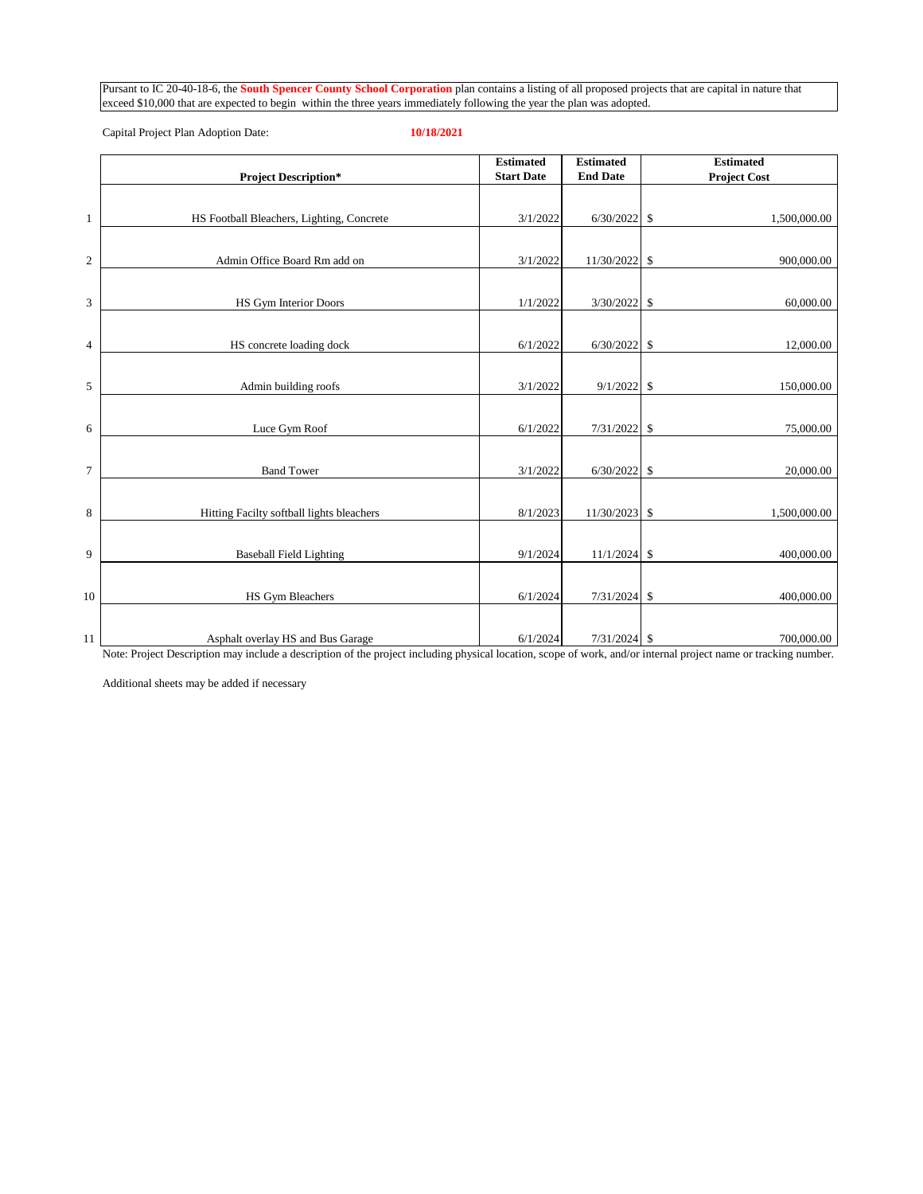Pursant to IC 20-40-18-6, the **South Spencer County School Corporation** plan contains a listing of all proposed projects that are capital in nature that

|              | <b>Project Description*</b>               | <b>Estimated</b><br><b>Start Date</b> | <b>Estimated</b><br><b>End Date</b> | <b>Estimated</b><br><b>Project Cost</b> |
|--------------|-------------------------------------------|---------------------------------------|-------------------------------------|-----------------------------------------|
|              |                                           |                                       |                                     |                                         |
| $\mathbf{1}$ | HS Football Bleachers, Lighting, Concrete | 3/1/2022                              | 6/30/2022                           | \$<br>1,500,000.00                      |
| $\sqrt{2}$   | Admin Office Board Rm add on              | 3/1/2022                              | 11/30/2022                          | \$<br>900,000.00                        |
| 3            | <b>HS Gym Interior Doors</b>              | 1/1/2022                              | 3/30/2022                           | \$<br>60,000.00                         |
| 4            | HS concrete loading dock                  | 6/1/2022                              | 6/30/2022                           | \$<br>12,000.00                         |
| 5            | Admin building roofs                      | 3/1/2022                              | 9/1/2022                            | 150,000.00<br>\$                        |
| 6            | Luce Gym Roof                             | 6/1/2022                              | 7/31/2022                           | 75,000.00<br>\$                         |
| $\tau$       | <b>Band Tower</b>                         | 3/1/2022                              | 6/30/2022                           | \$<br>20,000.00                         |
| 8            | Hitting Facilty softball lights bleachers | 8/1/2023                              | 11/30/2023                          | \$<br>1,500,000.00                      |
| 9            | <b>Baseball Field Lighting</b>            | 9/1/2024                              | 11/1/2024                           | $\mathbb{S}$<br>400,000.00              |
| 10           | HS Gym Bleachers                          | 6/1/2024                              | 7/31/2024                           | \$<br>400,000.00                        |
| 11           | Asphalt overlay HS and Bus Garage         | 6/1/2024                              | $7/31/2024$ \$                      | 700,000.00                              |

exceed \$10,000 that are expected to begin within the three years immediately following the year the plan was adopted.

Capital Project Plan Adoption Date: **10/18/2021**

Note: Project Description may include a description of the project including physical location, scope of work, and/or internal project name or tracking number.

Additional sheets may be added if necessary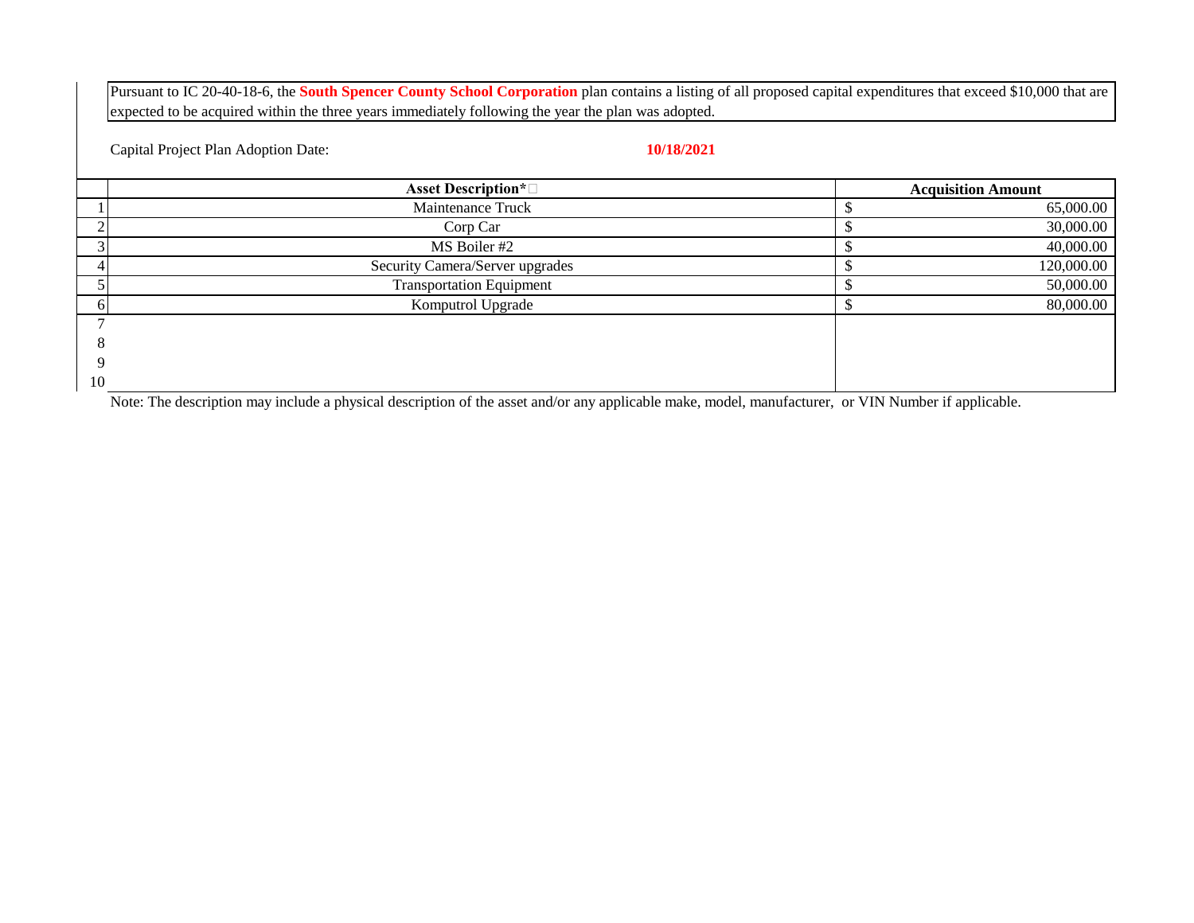Pursuant to IC 20-40-18-6, the **South Spencer County School Corporation** plan contains a listing of all proposed capital expenditures that exceed \$10,000 that are expected to be acquired within the three years immediately following the year the plan was adopted.

Capital Project Plan Adoption Date: **10/18/2021**

|    | <b>Asset Description*</b> □     | <b>Acquisition Amount</b> |
|----|---------------------------------|---------------------------|
|    | Maintenance Truck               | 65,000.00                 |
|    | Corp Car                        | 30,000.00                 |
|    | MS Boiler #2                    | 40,000.00                 |
|    | Security Camera/Server upgrades | 120,000.00                |
|    | <b>Transportation Equipment</b> | 50,000.00                 |
|    | Komputrol Upgrade               | 80,000.00                 |
|    |                                 |                           |
|    |                                 |                           |
|    |                                 |                           |
| 10 |                                 |                           |

Note: The description may include a physical description of the asset and/or any applicable make, model, manufacturer, or VIN Number if applicable.